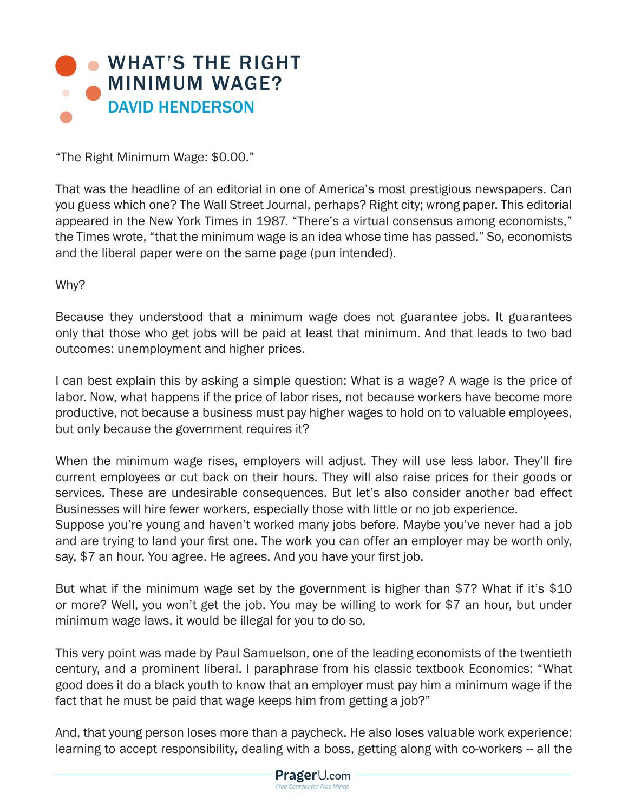

"The Right Minimum Wage: \$0.00."

That was the headline of an editorial in one of America's most prestigious newspapers. Can you guess which one? The Wall Street Journal, perhaps? Right city; wrong paper. This editorial appeared in the New York Times in 1987. "There's a virtual consensus among economists," the Times wrote, "that the minimum wage is an idea whose time has passed." So, economists and the liberal paper were on the same page (pun intended).

Why?

Because they understood that a minimum wage does not guarantee jobs. It guarantees only that those who get jobs will be paid at least that minimum. And that leads to two bad outcomes: unemployment and higher prices.

I can best explain this by asking a simple question: What is a wage? A wage is the price of labor. Now, what happens if the price of labor rises, not because workers have become more productive, not because a business must pay higher wages to hold on to valuable employees, but only because the government requires it?

When the minimum wage rises, employers will adjust. They will use less labor. They'll fire current employees or cut back on their hours. They will also raise prices for their goods or services. These are undesirable consequences. But let's also consider another bad effect Businesses will hire fewer workers, especially those with little or no job experience.

Suppose you're young and haven't worked many jobs before. Maybe you've never had a job and are trying to land your first one. The work you can offer an employer may be worth only, say, \$7 an hour. You agree. He agrees. And you have your first job.

But what if the minimum wage set by the government is higher than \$7? What if it's \$10 or more? Well, you won't get the job. You may be willing to work for \$7 an hour, but under minimum wage laws, it would be illegal for you to do so.

This very point was made by Paul Samuelson, one of the leading economists of the twentieth century, and a prominent liberal. I paraphrase from his classic textbook Economics: "What good does it do a black youth to know that an employer must pay him a minimum wage if the fact that he must be paid that wage keeps him from getting a job?"

And, that young person loses more than a paycheck. He also loses valuable work experience: learning to accept responsibility, dealing with a boss, getting along with co-workers -- all the